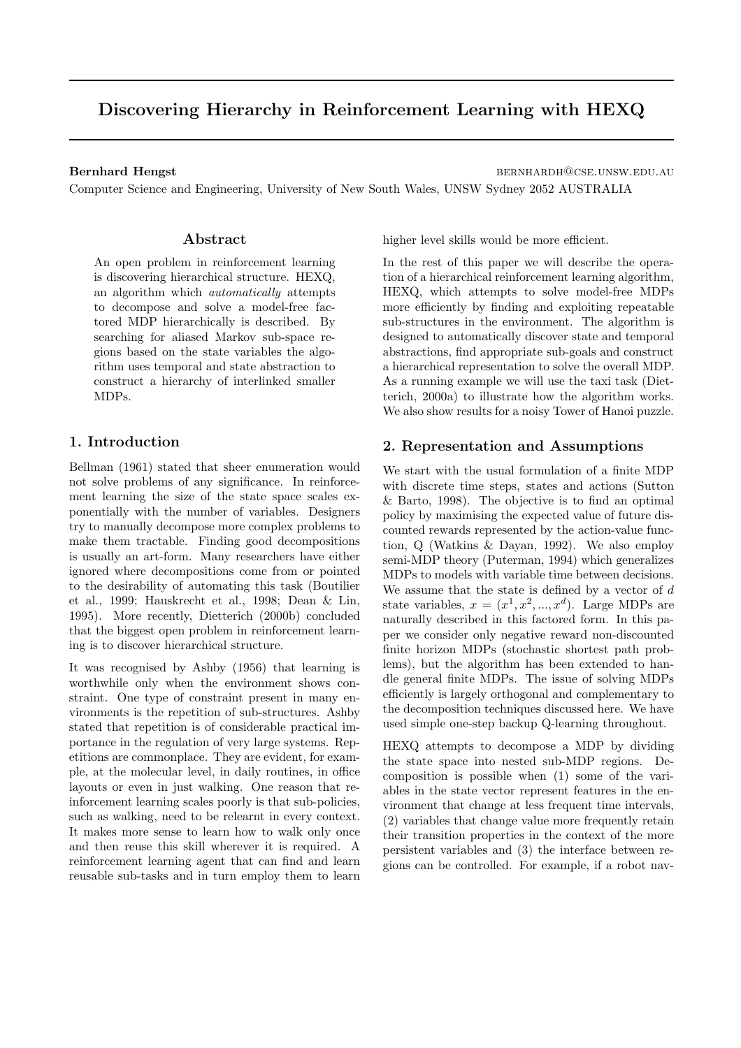# Discovering Hierarchy in Reinforcement Learning with HEXQ

Bernhard Hengst bernhardh@cse.unsw.edu.au

Computer Science and Engineering, University of New South Wales, UNSW Sydney 2052 AUSTRALIA

### Abstract

An open problem in reinforcement learning is discovering hierarchical structure. HEXQ, an algorithm which automatically attempts to decompose and solve a model-free factored MDP hierarchically is described. By searching for aliased Markov sub-space regions based on the state variables the algorithm uses temporal and state abstraction to construct a hierarchy of interlinked smaller MDPs.

### 1. Introduction

Bellman (1961) stated that sheer enumeration would not solve problems of any significance. In reinforcement learning the size of the state space scales exponentially with the number of variables. Designers try to manually decompose more complex problems to make them tractable. Finding good decompositions is usually an art-form. Many researchers have either ignored where decompositions come from or pointed to the desirability of automating this task (Boutilier et al., 1999; Hauskrecht et al., 1998; Dean & Lin, 1995). More recently, Dietterich (2000b) concluded that the biggest open problem in reinforcement learning is to discover hierarchical structure.

It was recognised by Ashby (1956) that learning is worthwhile only when the environment shows constraint. One type of constraint present in many environments is the repetition of sub-structures. Ashby stated that repetition is of considerable practical importance in the regulation of very large systems. Repetitions are commonplace. They are evident, for example, at the molecular level, in daily routines, in office layouts or even in just walking. One reason that reinforcement learning scales poorly is that sub-policies, such as walking, need to be relearnt in every context. It makes more sense to learn how to walk only once and then reuse this skill wherever it is required. A reinforcement learning agent that can find and learn reusable sub-tasks and in turn employ them to learn

higher level skills would be more efficient.

In the rest of this paper we will describe the operation of a hierarchical reinforcement learning algorithm, HEXQ, which attempts to solve model-free MDPs more efficiently by finding and exploiting repeatable sub-structures in the environment. The algorithm is designed to automatically discover state and temporal abstractions, find appropriate sub-goals and construct a hierarchical representation to solve the overall MDP. As a running example we will use the taxi task (Dietterich, 2000a) to illustrate how the algorithm works. We also show results for a noisy Tower of Hanoi puzzle.

### 2. Representation and Assumptions

We start with the usual formulation of a finite MDP with discrete time steps, states and actions (Sutton & Barto, 1998). The objective is to find an optimal policy by maximising the expected value of future discounted rewards represented by the action-value function, Q (Watkins & Dayan, 1992). We also employ semi-MDP theory (Puterman, 1994) which generalizes MDPs to models with variable time between decisions. We assume that the state is defined by a vector of  $d$ state variables,  $x = (x^1, x^2, ..., x^d)$ . Large MDPs are naturally described in this factored form. In this paper we consider only negative reward non-discounted finite horizon MDPs (stochastic shortest path problems), but the algorithm has been extended to handle general finite MDPs. The issue of solving MDPs efficiently is largely orthogonal and complementary to the decomposition techniques discussed here. We have used simple one-step backup Q-learning throughout.

HEXQ attempts to decompose a MDP by dividing the state space into nested sub-MDP regions. Decomposition is possible when (1) some of the variables in the state vector represent features in the environment that change at less frequent time intervals, (2) variables that change value more frequently retain their transition properties in the context of the more persistent variables and (3) the interface between regions can be controlled. For example, if a robot nav-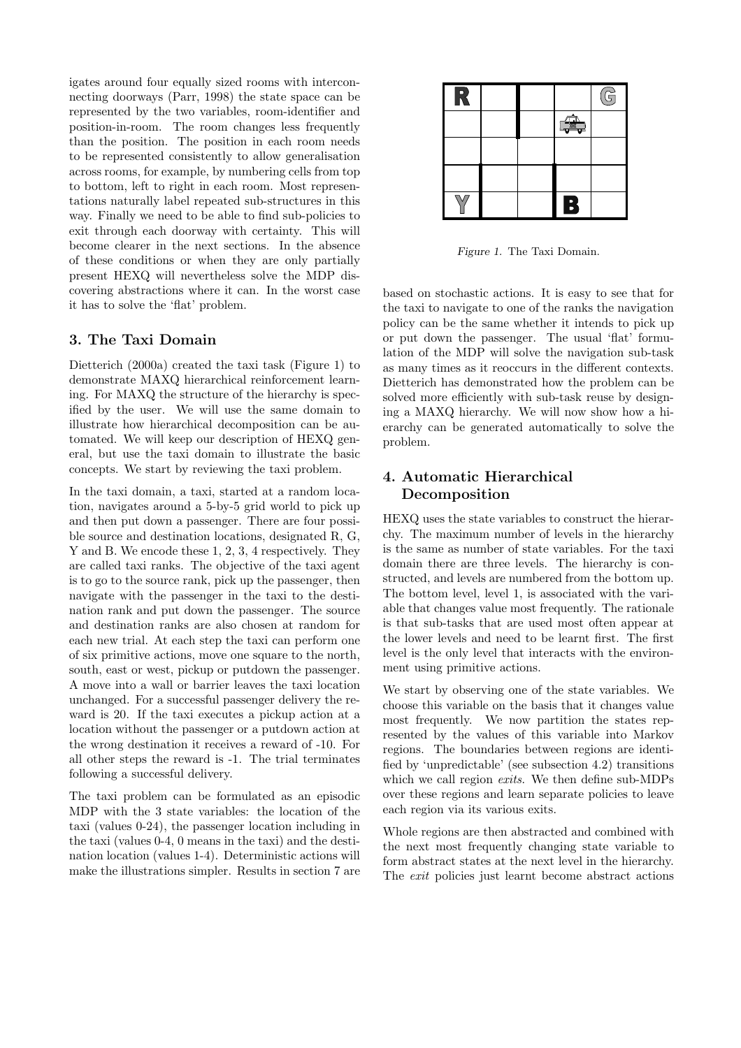igates around four equally sized rooms with interconnecting doorways (Parr, 1998) the state space can be represented by the two variables, room-identifier and position-in-room. The room changes less frequently than the position. The position in each room needs to be represented consistently to allow generalisation across rooms, for example, by numbering cells from top to bottom, left to right in each room. Most representations naturally label repeated sub-structures in this way. Finally we need to be able to find sub-policies to exit through each doorway with certainty. This will become clearer in the next sections. In the absence of these conditions or when they are only partially present HEXQ will nevertheless solve the MDP discovering abstractions where it can. In the worst case it has to solve the 'flat' problem.

### 3. The Taxi Domain

Dietterich (2000a) created the taxi task (Figure 1) to demonstrate MAXQ hierarchical reinforcement learning. For MAXQ the structure of the hierarchy is specified by the user. We will use the same domain to illustrate how hierarchical decomposition can be automated. We will keep our description of HEXQ general, but use the taxi domain to illustrate the basic concepts. We start by reviewing the taxi problem.

In the taxi domain, a taxi, started at a random location, navigates around a 5-by-5 grid world to pick up and then put down a passenger. There are four possible source and destination locations, designated R, G, Y and B. We encode these 1, 2, 3, 4 respectively. They are called taxi ranks. The objective of the taxi agent is to go to the source rank, pick up the passenger, then navigate with the passenger in the taxi to the destination rank and put down the passenger. The source and destination ranks are also chosen at random for each new trial. At each step the taxi can perform one of six primitive actions, move one square to the north, south, east or west, pickup or putdown the passenger. A move into a wall or barrier leaves the taxi location unchanged. For a successful passenger delivery the reward is 20. If the taxi executes a pickup action at a location without the passenger or a putdown action at the wrong destination it receives a reward of -10. For all other steps the reward is -1. The trial terminates following a successful delivery.

The taxi problem can be formulated as an episodic MDP with the 3 state variables: the location of the taxi (values 0-24), the passenger location including in the taxi (values 0-4, 0 means in the taxi) and the destination location (values 1-4). Deterministic actions will make the illustrations simpler. Results in section 7 are

| P |  |                        | G |
|---|--|------------------------|---|
|   |  | $\triangle$            |   |
|   |  |                        |   |
|   |  |                        |   |
|   |  | $\left  \cdot \right $ |   |

Figure 1. The Taxi Domain.

based on stochastic actions. It is easy to see that for the taxi to navigate to one of the ranks the navigation policy can be the same whether it intends to pick up or put down the passenger. The usual 'flat' formulation of the MDP will solve the navigation sub-task as many times as it reoccurs in the different contexts. Dietterich has demonstrated how the problem can be solved more efficiently with sub-task reuse by designing a MAXQ hierarchy. We will now show how a hierarchy can be generated automatically to solve the problem.

# 4. Automatic Hierarchical Decomposition

HEXQ uses the state variables to construct the hierarchy. The maximum number of levels in the hierarchy is the same as number of state variables. For the taxi domain there are three levels. The hierarchy is constructed, and levels are numbered from the bottom up. The bottom level, level 1, is associated with the variable that changes value most frequently. The rationale is that sub-tasks that are used most often appear at the lower levels and need to be learnt first. The first level is the only level that interacts with the environment using primitive actions.

We start by observing one of the state variables. We choose this variable on the basis that it changes value most frequently. We now partition the states represented by the values of this variable into Markov regions. The boundaries between regions are identified by 'unpredictable' (see subsection 4.2) transitions which we call region exits. We then define sub-MDPs over these regions and learn separate policies to leave each region via its various exits.

Whole regions are then abstracted and combined with the next most frequently changing state variable to form abstract states at the next level in the hierarchy. The exit policies just learnt become abstract actions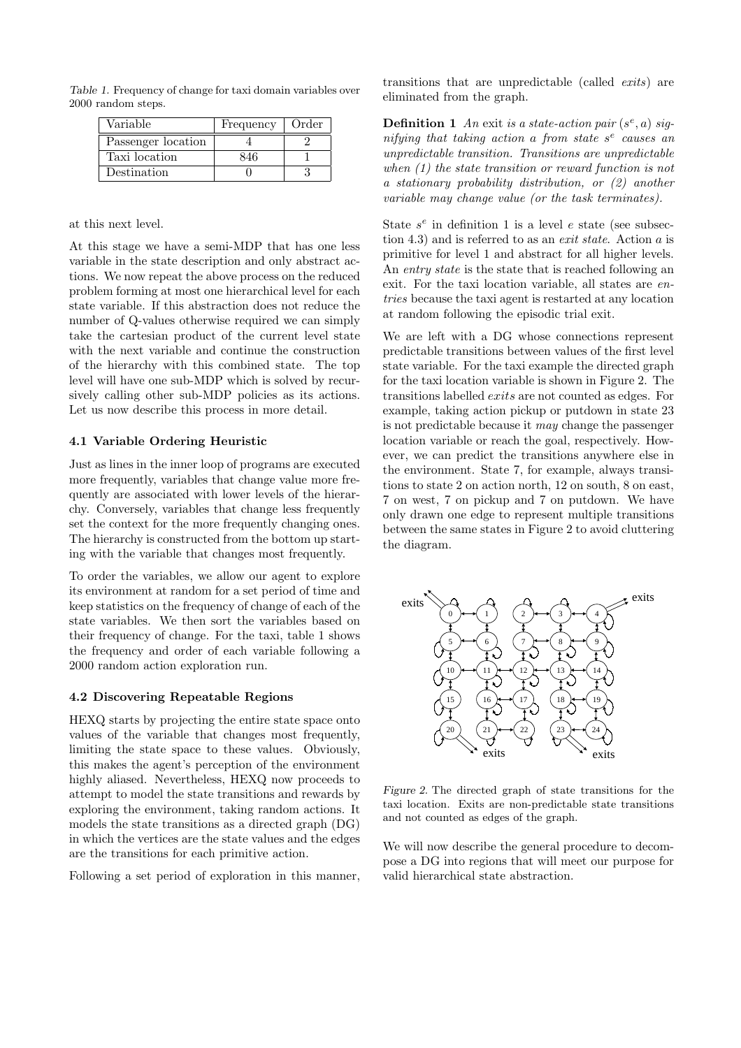Table 1. Frequency of change for taxi domain variables over 2000 random steps.

| Variable           | Frequency | Order |
|--------------------|-----------|-------|
| Passenger location |           |       |
| Taxi location      |           |       |
| Destination        |           |       |

at this next level.

At this stage we have a semi-MDP that has one less variable in the state description and only abstract actions. We now repeat the above process on the reduced problem forming at most one hierarchical level for each state variable. If this abstraction does not reduce the number of Q-values otherwise required we can simply take the cartesian product of the current level state with the next variable and continue the construction of the hierarchy with this combined state. The top level will have one sub-MDP which is solved by recursively calling other sub-MDP policies as its actions. Let us now describe this process in more detail.

#### 4.1 Variable Ordering Heuristic

Just as lines in the inner loop of programs are executed more frequently, variables that change value more frequently are associated with lower levels of the hierarchy. Conversely, variables that change less frequently set the context for the more frequently changing ones. The hierarchy is constructed from the bottom up starting with the variable that changes most frequently.

To order the variables, we allow our agent to explore its environment at random for a set period of time and keep statistics on the frequency of change of each of the state variables. We then sort the variables based on their frequency of change. For the taxi, table 1 shows the frequency and order of each variable following a 2000 random action exploration run.

#### 4.2 Discovering Repeatable Regions

HEXQ starts by projecting the entire state space onto values of the variable that changes most frequently, limiting the state space to these values. Obviously, this makes the agent's perception of the environment highly aliased. Nevertheless, HEXQ now proceeds to attempt to model the state transitions and rewards by exploring the environment, taking random actions. It models the state transitions as a directed graph (DG) in which the vertices are the state values and the edges are the transitions for each primitive action.

Following a set period of exploration in this manner,

transitions that are unpredictable (called exits) are eliminated from the graph.

**Definition 1** An exit is a state-action pair  $(s^e, a)$  signifying that taking action a from state  $s<sup>e</sup>$  causes an unpredictable transition. Transitions are unpredictable when (1) the state transition or reward function is not a stationary probability distribution, or (2) another variable may change value (or the task terminates).

State  $s^e$  in definition 1 is a level e state (see subsection 4.3) and is referred to as an exit state. Action a is primitive for level 1 and abstract for all higher levels. An entry state is the state that is reached following an exit. For the taxi location variable, all states are entries because the taxi agent is restarted at any location at random following the episodic trial exit.

We are left with a DG whose connections represent predictable transitions between values of the first level state variable. For the taxi example the directed graph for the taxi location variable is shown in Figure 2. The transitions labelled exits are not counted as edges. For example, taking action pickup or putdown in state 23 is not predictable because it may change the passenger location variable or reach the goal, respectively. However, we can predict the transitions anywhere else in the environment. State 7, for example, always transitions to state 2 on action north, 12 on south, 8 on east, 7 on west, 7 on pickup and 7 on putdown. We have only drawn one edge to represent multiple transitions between the same states in Figure 2 to avoid cluttering the diagram.



Figure 2. The directed graph of state transitions for the taxi location. Exits are non-predictable state transitions and not counted as edges of the graph.

We will now describe the general procedure to decompose a DG into regions that will meet our purpose for valid hierarchical state abstraction.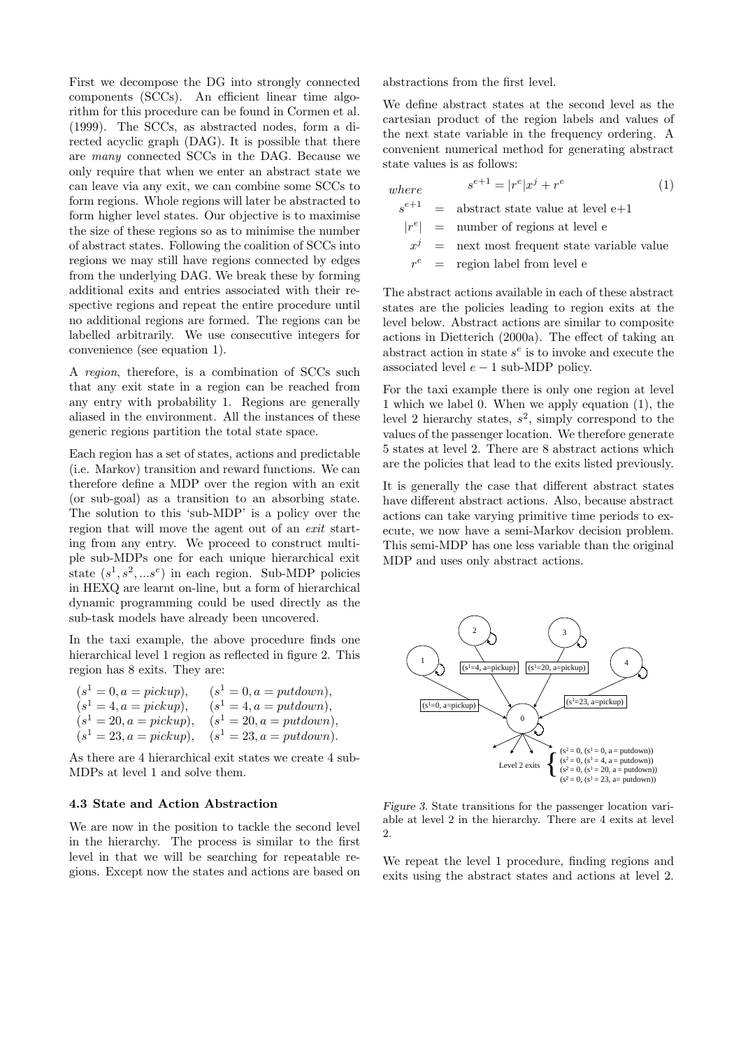First we decompose the DG into strongly connected components (SCCs). An efficient linear time algorithm for this procedure can be found in Cormen et al. (1999). The SCCs, as abstracted nodes, form a directed acyclic graph (DAG). It is possible that there are many connected SCCs in the DAG. Because we only require that when we enter an abstract state we can leave via any exit, we can combine some SCCs to form regions. Whole regions will later be abstracted to form higher level states. Our objective is to maximise the size of these regions so as to minimise the number of abstract states. Following the coalition of SCCs into regions we may still have regions connected by edges from the underlying DAG. We break these by forming additional exits and entries associated with their respective regions and repeat the entire procedure until no additional regions are formed. The regions can be labelled arbitrarily. We use consecutive integers for convenience (see equation 1).

A region, therefore, is a combination of SCCs such that any exit state in a region can be reached from any entry with probability 1. Regions are generally aliased in the environment. All the instances of these generic regions partition the total state space.

Each region has a set of states, actions and predictable (i.e. Markov) transition and reward functions. We can therefore define a MDP over the region with an exit (or sub-goal) as a transition to an absorbing state. The solution to this 'sub-MDP' is a policy over the region that will move the agent out of an exit starting from any entry. We proceed to construct multiple sub-MDPs one for each unique hierarchical exit state  $(s^1, s^2, \dots s^e)$  in each region. Sub-MDP policies in HEXQ are learnt on-line, but a form of hierarchical dynamic programming could be used directly as the sub-task models have already been uncovered.

In the taxi example, the above procedure finds one hierarchical level 1 region as reflected in figure 2. This region has 8 exits. They are:

| $(s^1 = 0, a = pickup),$  | $(s^1 = 0, a = putdown),$    |
|---------------------------|------------------------------|
| $(s^1 = 4, a = pickup),$  | $(s^1 = 4, a = putdown),$    |
| $(s^1 = 20, a = pickup),$ | $(s^1 = 20, a = putdown),$   |
| $(s^1 = 23, a = pickup),$ | $(s^{1} = 23, a = putdown).$ |

As there are 4 hierarchical exit states we create 4 sub-MDPs at level 1 and solve them.

#### 4.3 State and Action Abstraction

We are now in the position to tackle the second level in the hierarchy. The process is similar to the first level in that we will be searching for repeatable regions. Except now the states and actions are based on abstractions from the first level.

We define abstract states at the second level as the cartesian product of the region labels and values of the next state variable in the frequency ordering. A convenient numerical method for generating abstract state values is as follows:

where  
\n
$$
s^{e+1} = |r^e|x^j + r^e
$$
\n
$$
s^{e+1} = \text{abstract state value at level e+1}
$$
\n
$$
|r^e| = \text{number of regions at level e}
$$
\n
$$
x^j = \text{next most frequent state variable value}
$$
\n
$$
r^e = \text{region label from level e}
$$

The abstract actions available in each of these abstract states are the policies leading to region exits at the level below. Abstract actions are similar to composite actions in Dietterich (2000a). The effect of taking an abstract action in state  $s^e$  is to invoke and execute the associated level  $e - 1$  sub-MDP policy.

For the taxi example there is only one region at level 1 which we label 0. When we apply equation (1), the level 2 hierarchy states,  $s^2$ , simply correspond to the values of the passenger location. We therefore generate 5 states at level 2. There are 8 abstract actions which are the policies that lead to the exits listed previously.

It is generally the case that different abstract states have different abstract actions. Also, because abstract actions can take varying primitive time periods to execute, we now have a semi-Markov decision problem. This semi-MDP has one less variable than the original MDP and uses only abstract actions.



Figure 3. State transitions for the passenger location variable at level 2 in the hierarchy. There are 4 exits at level 2.

We repeat the level 1 procedure, finding regions and exits using the abstract states and actions at level 2.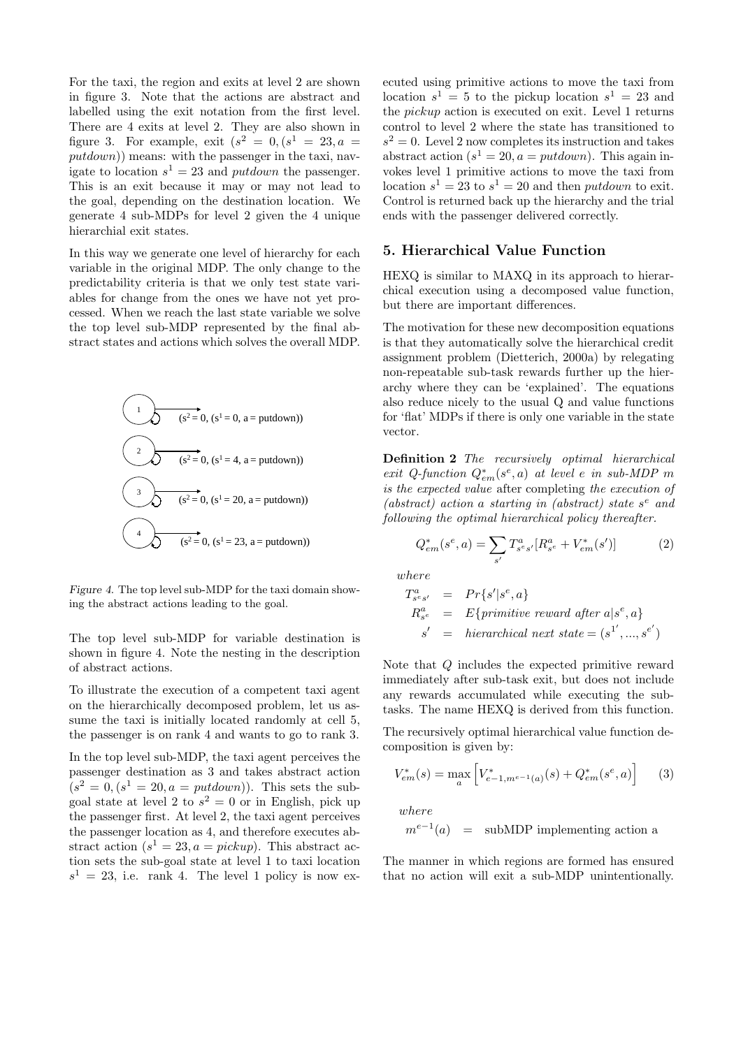For the taxi, the region and exits at level 2 are shown in figure 3. Note that the actions are abstract and labelled using the exit notation from the first level. There are 4 exits at level 2. They are also shown in figure 3. For example, exit  $(s^2 = 0, (s^1 = 23, a =$  $putdown)$  means: with the passenger in the taxi, navigate to location  $s^1 = 23$  and *putdown* the passenger. This is an exit because it may or may not lead to the goal, depending on the destination location. We generate 4 sub-MDPs for level 2 given the 4 unique hierarchial exit states.

In this way we generate one level of hierarchy for each variable in the original MDP. The only change to the predictability criteria is that we only test state variables for change from the ones we have not yet processed. When we reach the last state variable we solve the top level sub-MDP represented by the final abstract states and actions which solves the overall MDP.

$$
(s2=0, (s1=0, a = putdown))
$$
  
\n
$$
(s2=0, (s1=4, a = putdown))
$$
  
\n3  
\n
$$
(s2=0, (s1=20, a = putdown))
$$
  
\n
$$
(s2=0, (s1=23, a = putdown))
$$

Figure 4. The top level sub-MDP for the taxi domain showing the abstract actions leading to the goal.

The top level sub-MDP for variable destination is shown in figure 4. Note the nesting in the description of abstract actions.

To illustrate the execution of a competent taxi agent on the hierarchically decomposed problem, let us assume the taxi is initially located randomly at cell 5, the passenger is on rank 4 and wants to go to rank 3.

In the top level sub-MDP, the taxi agent perceives the passenger destination as 3 and takes abstract action  $(s^2 = 0, (s^1 = 20, a = putdown)).$  This sets the subgoal state at level 2 to  $s^2 = 0$  or in English, pick up the passenger first. At level 2, the taxi agent perceives the passenger location as 4, and therefore executes abstract action  $(s^1 = 23, a = pickup)$ . This abstract action sets the sub-goal state at level 1 to taxi location  $s<sup>1</sup> = 23$ , i.e. rank 4. The level 1 policy is now executed using primitive actions to move the taxi from location  $s^1 = 5$  to the pickup location  $s^1 = 23$  and the pickup action is executed on exit. Level 1 returns control to level 2 where the state has transitioned to  $s^2 = 0$ . Level 2 now completes its instruction and takes abstract action  $(s^1 = 20, a = putdown)$ . This again invokes level 1 primitive actions to move the taxi from location  $s^1 = 23$  to  $s^1 = 20$  and then *putdown* to exit. Control is returned back up the hierarchy and the trial ends with the passenger delivered correctly.

#### 5. Hierarchical Value Function

HEXQ is similar to MAXQ in its approach to hierarchical execution using a decomposed value function, but there are important differences.

The motivation for these new decomposition equations is that they automatically solve the hierarchical credit assignment problem (Dietterich, 2000a) by relegating non-repeatable sub-task rewards further up the hierarchy where they can be 'explained'. The equations also reduce nicely to the usual Q and value functions for 'flat' MDPs if there is only one variable in the state vector.

Definition 2 The recursively optimal hierarchical exit Q-function  $Q_{em}^*(s^e, a)$  at level e in sub-MDP m is the expected value after completing the execution of (abstract) action a starting in (abstract) state  $s^e$  and following the optimal hierarchical policy thereafter.

$$
Q_{em}^*(s^e, a) = \sum_{s'} T_{s^e s'}^a [R_{s^e}^a + V_{em}^*(s')] \tag{2}
$$

where

$$
T_{s^e s'}^a = Pr{s'|s^e, a}
$$
  
\n
$$
R_{s^e}^a = E{primitive reward after a|s^e, a}
$$
  
\n
$$
s' = hierarchical next state = (s^1', ..., s^{e'})
$$

Note that Q includes the expected primitive reward immediately after sub-task exit, but does not include any rewards accumulated while executing the subtasks. The name HEXQ is derived from this function.

The recursively optimal hierarchical value function decomposition is given by:

$$
V_{em}^*(s) = \max_{a} \left[ V_{e-1, m^{e-1}(a)}^*(s) + Q_{em}^*(s^e, a) \right] \tag{3}
$$

where

$$
m^{e-1}(a)
$$
 = subMDP implementing action a

The manner in which regions are formed has ensured that no action will exit a sub-MDP unintentionally.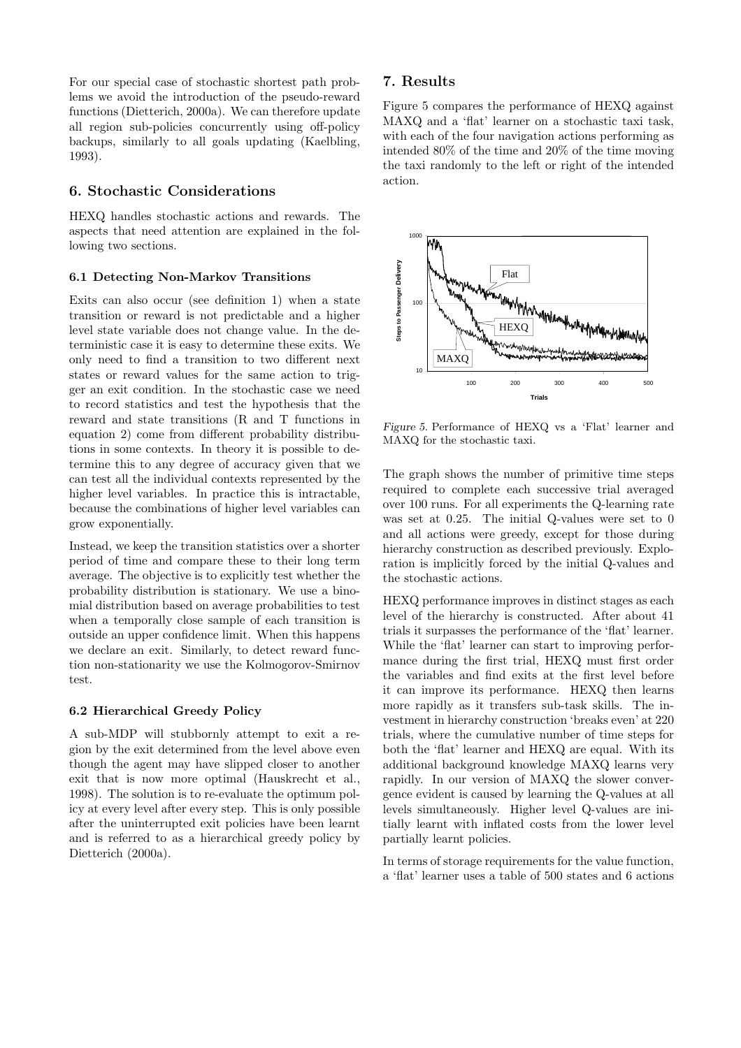For our special case of stochastic shortest path problems we avoid the introduction of the pseudo-reward functions (Dietterich, 2000a). We can therefore update all region sub-policies concurrently using off-policy backups, similarly to all goals updating (Kaelbling, 1993).

### 6. Stochastic Considerations

HEXQ handles stochastic actions and rewards. The aspects that need attention are explained in the following two sections.

#### 6.1 Detecting Non-Markov Transitions

Exits can also occur (see definition 1) when a state transition or reward is not predictable and a higher level state variable does not change value. In the deterministic case it is easy to determine these exits. We only need to find a transition to two different next states or reward values for the same action to trigger an exit condition. In the stochastic case we need to record statistics and test the hypothesis that the reward and state transitions (R and T functions in equation 2) come from different probability distributions in some contexts. In theory it is possible to determine this to any degree of accuracy given that we can test all the individual contexts represented by the higher level variables. In practice this is intractable, because the combinations of higher level variables can grow exponentially.

Instead, we keep the transition statistics over a shorter period of time and compare these to their long term average. The objective is to explicitly test whether the probability distribution is stationary. We use a binomial distribution based on average probabilities to test when a temporally close sample of each transition is outside an upper confidence limit. When this happens we declare an exit. Similarly, to detect reward function non-stationarity we use the Kolmogorov-Smirnov test.

#### 6.2 Hierarchical Greedy Policy

A sub-MDP will stubbornly attempt to exit a region by the exit determined from the level above even though the agent may have slipped closer to another exit that is now more optimal (Hauskrecht et al., 1998). The solution is to re-evaluate the optimum policy at every level after every step. This is only possible after the uninterrupted exit policies have been learnt and is referred to as a hierarchical greedy policy by Dietterich (2000a).

## 7. Results

Figure 5 compares the performance of HEXQ against MAXQ and a 'flat' learner on a stochastic taxi task, with each of the four navigation actions performing as intended 80% of the time and 20% of the time moving the taxi randomly to the left or right of the intended action.



Figure 5. Performance of HEXQ vs a 'Flat' learner and MAXQ for the stochastic taxi.

The graph shows the number of primitive time steps required to complete each successive trial averaged over 100 runs. For all experiments the Q-learning rate was set at 0.25. The initial Q-values were set to 0 and all actions were greedy, except for those during hierarchy construction as described previously. Exploration is implicitly forced by the initial Q-values and the stochastic actions.

HEXQ performance improves in distinct stages as each level of the hierarchy is constructed. After about 41 trials it surpasses the performance of the 'flat' learner. While the 'flat' learner can start to improving performance during the first trial, HEXQ must first order the variables and find exits at the first level before it can improve its performance. HEXQ then learns more rapidly as it transfers sub-task skills. The investment in hierarchy construction 'breaks even' at 220 trials, where the cumulative number of time steps for both the 'flat' learner and HEXQ are equal. With its additional background knowledge MAXQ learns very rapidly. In our version of MAXQ the slower convergence evident is caused by learning the Q-values at all levels simultaneously. Higher level Q-values are initially learnt with inflated costs from the lower level partially learnt policies.

In terms of storage requirements for the value function, a 'flat' learner uses a table of 500 states and 6 actions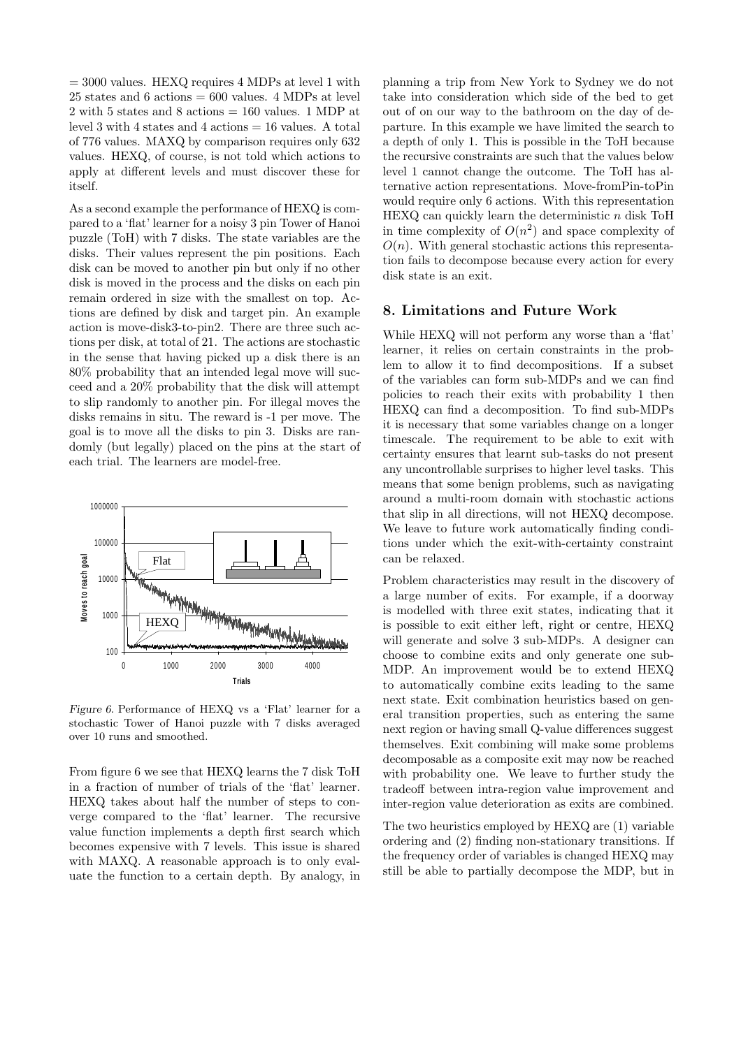$= 3000$  values. HEXQ requires 4 MDPs at level 1 with  $25$  states and  $6$  actions  $= 600$  values. 4 MDPs at level 2 with 5 states and 8 actions = 160 values. 1 MDP at level 3 with 4 states and 4 actions = 16 values. A total of 776 values. MAXQ by comparison requires only 632 values. HEXQ, of course, is not told which actions to apply at different levels and must discover these for itself.

As a second example the performance of HEXQ is compared to a 'flat' learner for a noisy 3 pin Tower of Hanoi puzzle (ToH) with 7 disks. The state variables are the disks. Their values represent the pin positions. Each disk can be moved to another pin but only if no other disk is moved in the process and the disks on each pin remain ordered in size with the smallest on top. Actions are defined by disk and target pin. An example action is move-disk3-to-pin2. There are three such actions per disk, at total of 21. The actions are stochastic in the sense that having picked up a disk there is an 80% probability that an intended legal move will succeed and a 20% probability that the disk will attempt to slip randomly to another pin. For illegal moves the disks remains in situ. The reward is -1 per move. The goal is to move all the disks to pin 3. Disks are randomly (but legally) placed on the pins at the start of each trial. The learners are model-free.



Figure 6. Performance of HEXQ vs a 'Flat' learner for a stochastic Tower of Hanoi puzzle with 7 disks averaged over 10 runs and smoothed.

From figure 6 we see that HEXQ learns the 7 disk ToH in a fraction of number of trials of the 'flat' learner. HEXQ takes about half the number of steps to converge compared to the 'flat' learner. The recursive value function implements a depth first search which becomes expensive with 7 levels. This issue is shared with MAXQ. A reasonable approach is to only evaluate the function to a certain depth. By analogy, in planning a trip from New York to Sydney we do not take into consideration which side of the bed to get out of on our way to the bathroom on the day of departure. In this example we have limited the search to a depth of only 1. This is possible in the ToH because the recursive constraints are such that the values below level 1 cannot change the outcome. The ToH has alternative action representations. Move-fromPin-toPin would require only 6 actions. With this representation  $HEXQ$  can quickly learn the deterministic  $n$  disk ToH in time complexity of  $O(n^2)$  and space complexity of  $O(n)$ . With general stochastic actions this representation fails to decompose because every action for every disk state is an exit.

#### 8. Limitations and Future Work

While HEXQ will not perform any worse than a 'flat' learner, it relies on certain constraints in the problem to allow it to find decompositions. If a subset of the variables can form sub-MDPs and we can find policies to reach their exits with probability 1 then HEXQ can find a decomposition. To find sub-MDPs it is necessary that some variables change on a longer timescale. The requirement to be able to exit with certainty ensures that learnt sub-tasks do not present any uncontrollable surprises to higher level tasks. This means that some benign problems, such as navigating around a multi-room domain with stochastic actions that slip in all directions, will not HEXQ decompose. We leave to future work automatically finding conditions under which the exit-with-certainty constraint can be relaxed.

Problem characteristics may result in the discovery of a large number of exits. For example, if a doorway is modelled with three exit states, indicating that it is possible to exit either left, right or centre, HEXQ will generate and solve 3 sub-MDPs. A designer can choose to combine exits and only generate one sub-MDP. An improvement would be to extend HEXQ to automatically combine exits leading to the same next state. Exit combination heuristics based on general transition properties, such as entering the same next region or having small Q-value differences suggest themselves. Exit combining will make some problems decomposable as a composite exit may now be reached with probability one. We leave to further study the tradeoff between intra-region value improvement and inter-region value deterioration as exits are combined.

The two heuristics employed by HEXQ are (1) variable ordering and (2) finding non-stationary transitions. If the frequency order of variables is changed HEXQ may still be able to partially decompose the MDP, but in